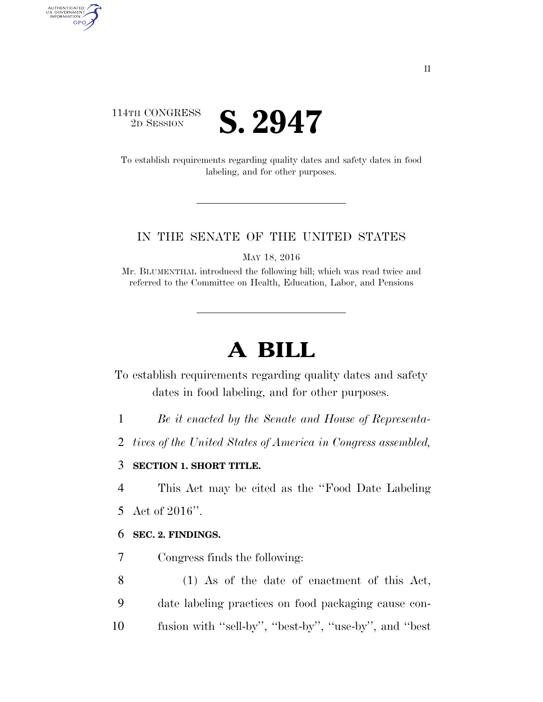### 114TH CONGRESS **ED SESSION S. 2947**

AUTHENTICATED<br>U.S. GOVERNMENT<br>INFORMATION GPO

> To establish requirements regarding quality dates and safety dates in food labeling, and for other purposes.

#### IN THE SENATE OF THE UNITED STATES

MAY 18, 2016

Mr. BLUMENTHAL introduced the following bill; which was read twice and referred to the Committee on Health, Education, Labor, and Pensions

# **A BILL**

To establish requirements regarding quality dates and safety dates in food labeling, and for other purposes.

- 1 *Be it enacted by the Senate and House of Representa-*
- 2 *tives of the United States of America in Congress assembled,*

#### 3 **SECTION 1. SHORT TITLE.**

4 This Act may be cited as the ''Food Date Labeling

5 Act of 2016''.

#### 6 **SEC. 2. FINDINGS.**

- 7 Congress finds the following:
- 8 (1) As of the date of enactment of this Act, 9 date labeling practices on food packaging cause con-10 fusion with ''sell-by'', ''best-by'', ''use-by'', and ''best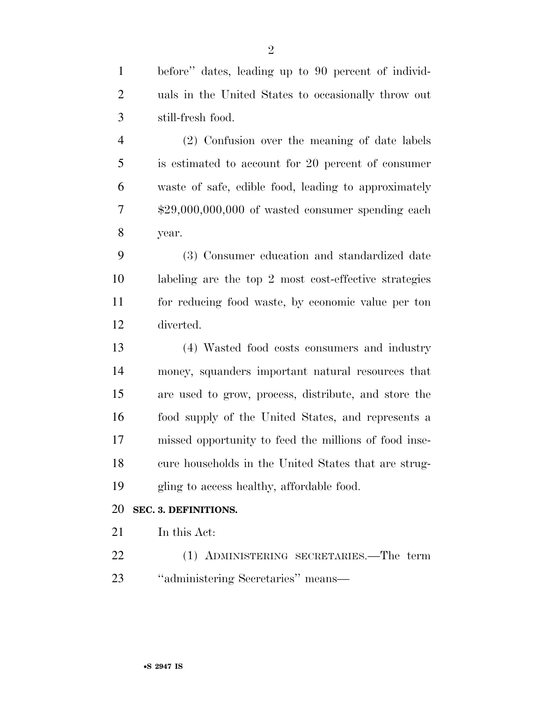before'' dates, leading up to 90 percent of individ- uals in the United States to occasionally throw out still-fresh food.

 (2) Confusion over the meaning of date labels is estimated to account for 20 percent of consumer waste of safe, edible food, leading to approximately \$29,000,000,000 of wasted consumer spending each year.

 (3) Consumer education and standardized date labeling are the top 2 most cost-effective strategies for reducing food waste, by economic value per ton diverted.

 (4) Wasted food costs consumers and industry money, squanders important natural resources that are used to grow, process, distribute, and store the food supply of the United States, and represents a missed opportunity to feed the millions of food inse- cure households in the United States that are strug-gling to access healthy, affordable food.

#### **SEC. 3. DEFINITIONS.**

In this Act:

 (1) ADMINISTERING SECRETARIES.—The term ''administering Secretaries'' means—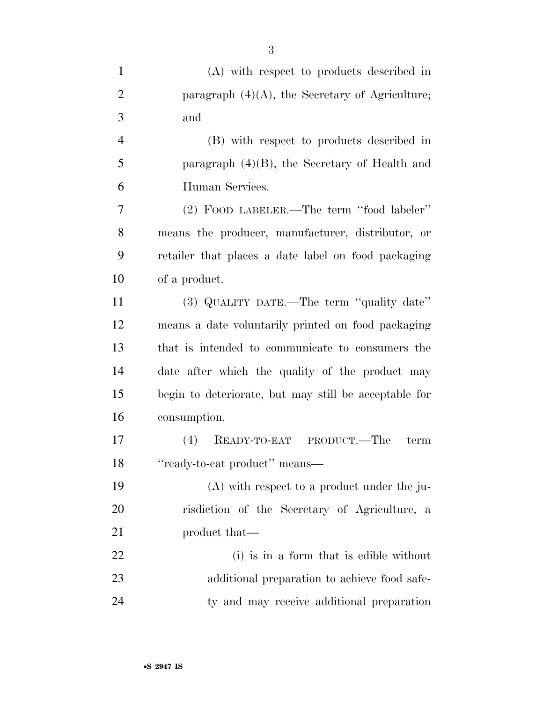| $\mathbf{1}$   | (A) with respect to products described in             |
|----------------|-------------------------------------------------------|
| $\overline{2}$ | paragraph $(4)(A)$ , the Secretary of Agriculture;    |
| 3              | and                                                   |
| $\overline{4}$ | (B) with respect to products described in             |
| 5              | paragraph $(4)(B)$ , the Secretary of Health and      |
| 6              | Human Services.                                       |
| 7              | (2) FOOD LABELER.—The term "food labeler"             |
| 8              | means the producer, manufacturer, distributor, or     |
| 9              | retailer that places a date label on food packaging   |
| 10             | of a product.                                         |
| 11             | (3) QUALITY DATE.—The term "quality date"             |
| 12             | means a date voluntarily printed on food packaging    |
| 13             | that is intended to communicate to consumers the      |
| 14             | date after which the quality of the product may       |
| 15             | begin to deteriorate, but may still be acceptable for |
| 16             | consumption.                                          |
| 17             | READY-TO-EAT PRODUCT.—The<br>(4)<br>term              |
| 18             | "ready-to-eat product" means—                         |
| 19             | $(A)$ with respect to a product under the ju-         |
| 20             | risdiction of the Secretary of Agriculture, a         |
| 21             | product that—                                         |
| 22             | (i) is in a form that is edible without               |
| 23             | additional preparation to achieve food safe-          |
| 24             | ty and may receive additional preparation             |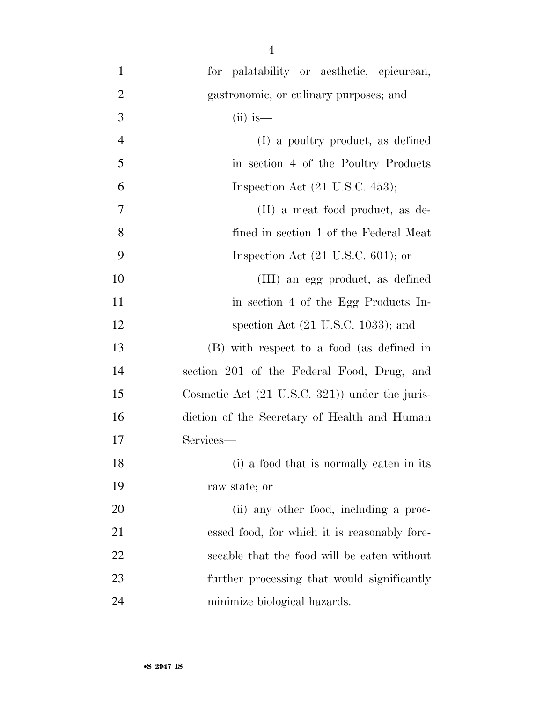| $\mathbf{1}$   | for palatability or aesthetic, epicurean,                |
|----------------|----------------------------------------------------------|
| 2              | gastronomic, or culinary purposes; and                   |
| 3              | $(ii)$ is—                                               |
| $\overline{4}$ | (I) a poultry product, as defined                        |
| 5              | in section 4 of the Poultry Products                     |
| 6              | Inspection Act $(21 \text{ U.S.C. } 453);$               |
| 7              | (II) a meat food product, as de-                         |
| 8              | fined in section 1 of the Federal Meat                   |
| 9              | Inspection Act $(21 \text{ U.S.C. } 601)$ ; or           |
| 10             | (III) an egg product, as defined                         |
| 11             | in section 4 of the Egg Products In-                     |
| 12             | spection Act $(21 \text{ U.S.C. } 1033)$ ; and           |
| 13             | (B) with respect to a food (as defined in                |
| 14             | section 201 of the Federal Food, Drug, and               |
| 15             | Cosmetic Act $(21 \text{ U.S.C. } 321)$ under the juris- |
| 16             | diction of the Secretary of Health and Human             |
| 17             | Services-                                                |
| 18             | (i) a food that is normally eaten in its                 |
| 19             | raw state; or                                            |
| 20             | (ii) any other food, including a proc-                   |
| 21             | essed food, for which it is reasonably fore-             |
| 22             | seeable that the food will be eaten without              |
| 23             | further processing that would significantly              |
| 24             | minimize biological hazards.                             |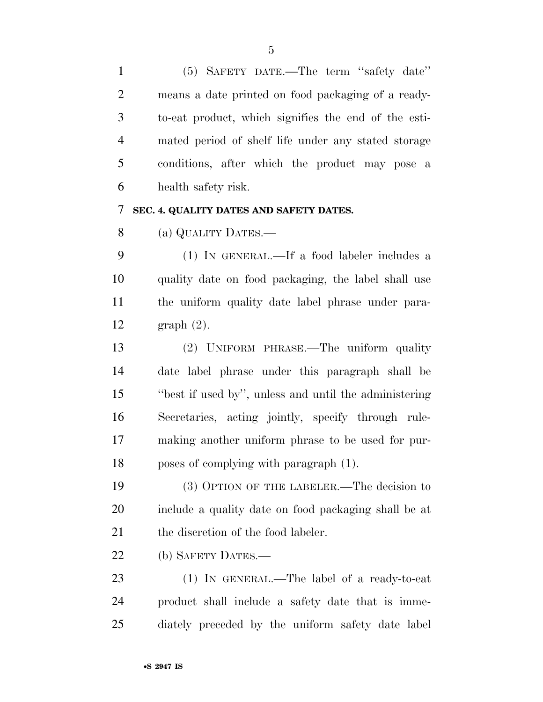(5) SAFETY DATE.—The term ''safety date'' means a date printed on food packaging of a ready- to-eat product, which signifies the end of the esti- mated period of shelf life under any stated storage conditions, after which the product may pose a health safety risk.

#### **SEC. 4. QUALITY DATES AND SAFETY DATES.**

(a) QUALITY DATES.—

 (1) IN GENERAL.—If a food labeler includes a quality date on food packaging, the label shall use the uniform quality date label phrase under para-graph (2).

 (2) UNIFORM PHRASE.—The uniform quality date label phrase under this paragraph shall be ''best if used by'', unless and until the administering Secretaries, acting jointly, specify through rule- making another uniform phrase to be used for pur-poses of complying with paragraph (1).

 (3) OPTION OF THE LABELER.—The decision to include a quality date on food packaging shall be at 21 the discretion of the food labeler.

(b) SAFETY DATES.—

 (1) IN GENERAL.—The label of a ready-to-eat product shall include a safety date that is imme-diately preceded by the uniform safety date label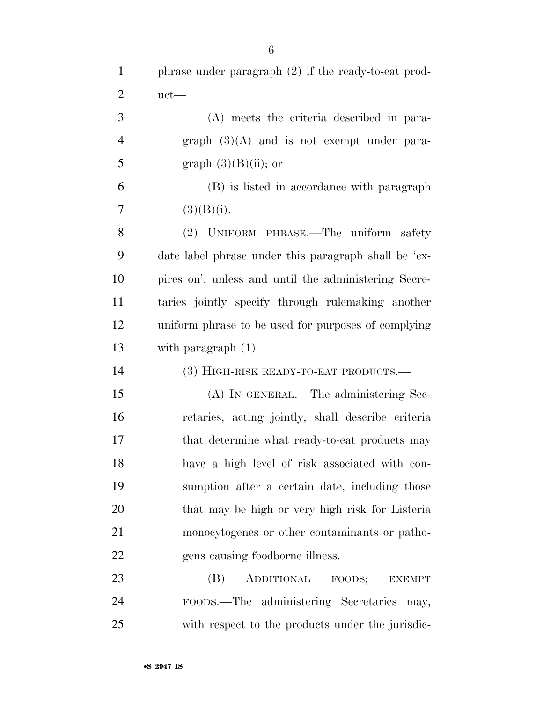| $\mathbf{1}$   | phrase under paragraph (2) if the ready-to-eat prod- |
|----------------|------------------------------------------------------|
| $\overline{2}$ | $uct$ —                                              |
| 3              | (A) meets the criteria described in para-            |
| $\overline{4}$ | graph $(3)(A)$ and is not exempt under para-         |
| 5              | graph $(3)(B)(ii)$ ; or                              |
| 6              | (B) is listed in accordance with paragraph           |
| 7              | (3)(B)(i).                                           |
| 8              | (2) UNIFORM PHRASE.—The uniform safety               |
| 9              | date label phrase under this paragraph shall be 'ex- |
| 10             | pires on', unless and until the administering Secre- |
| 11             | taries jointly specify through rulemaking another    |
| 12             | uniform phrase to be used for purposes of complying  |
| 13             | with paragraph $(1)$ .                               |
| 14             | (3) HIGH-RISK READY-TO-EAT PRODUCTS.—                |
| 15             | (A) IN GENERAL.—The administering Sec-               |
| 16             | retaries, acting jointly, shall describe criteria    |
| 17             | that determine what ready-to-eat products may        |
| 18             | have a high level of risk associated with con-       |
| 19             | sumption after a certain date, including those       |
| 20             | that may be high or very high risk for Listeria      |
| 21             | monocytogenes or other contaminants or patho-        |
| 22             | gens causing foodborne illness.                      |
| 23             | ADDITIONAL<br>(B)<br>FOODS;<br><b>EXEMPT</b>         |
| 24             | FOODS.—The administering Secretaries may,            |
| 25             | with respect to the products under the jurisdic-     |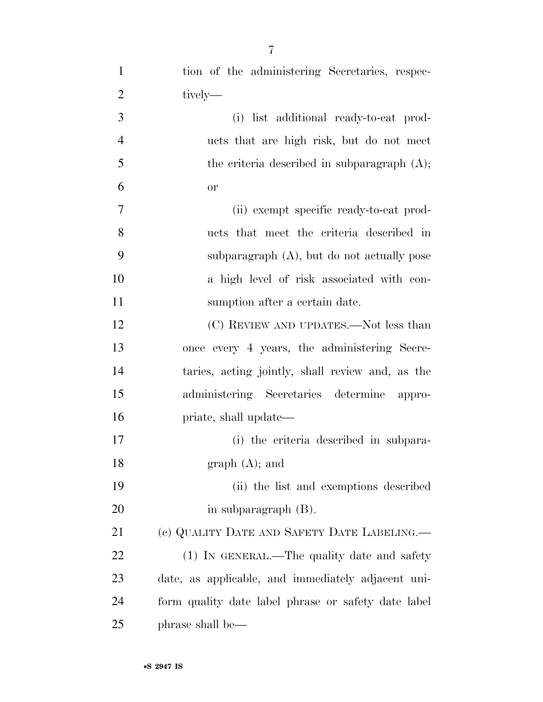| $\mathbf{1}$   | tion of the administering Secretaries, respec-      |
|----------------|-----------------------------------------------------|
| $\overline{2}$ | tively—                                             |
| 3              | (i) list additional ready-to-eat prod-              |
| $\overline{4}$ | ucts that are high risk, but do not meet            |
| 5              | the criteria described in subparagraph $(A)$ ;      |
| 6              | <b>or</b>                                           |
| 7              | (ii) exempt specific ready-to-eat prod-             |
| 8              | ucts that meet the criteria described in            |
| 9              | subparagraph $(A)$ , but do not actually pose       |
| 10             | a high level of risk associated with con-           |
| 11             | sumption after a certain date.                      |
| 12             | (C) REVIEW AND UPDATES.—Not less than               |
| 13             | once every 4 years, the administering Secre-        |
| 14             | taries, acting jointly, shall review and, as the    |
| 15             | administering Secretaries determine appro-          |
| 16             | priate, shall update—                               |
| 17             | (i) the criteria described in subpara-              |
| 18             | $graph(A);$ and                                     |
| 19             | (ii) the list and exemptions described              |
| 20             | in subparagraph $(B)$ .                             |
| 21             | (c) QUALITY DATE AND SAFETY DATE LABELING.—         |
| 22             | (1) IN GENERAL.—The quality date and safety         |
| 23             | date, as applicable, and immediately adjacent uni-  |
| 24             | form quality date label phrase or safety date label |
| 25             | phrase shall be—                                    |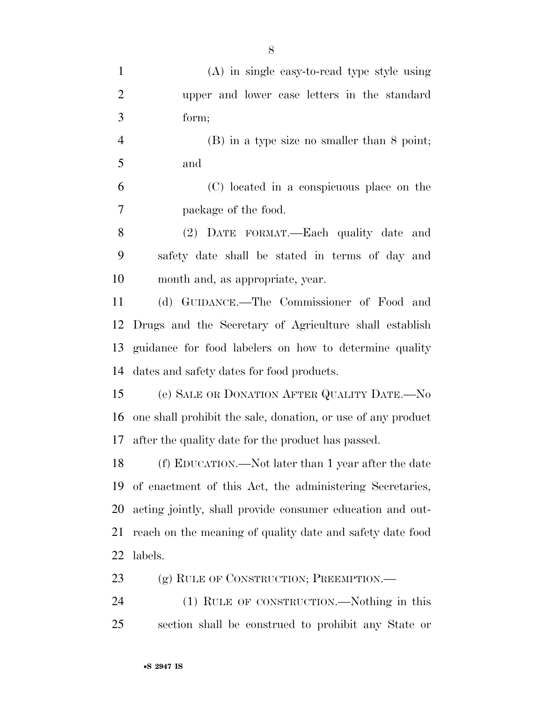| $\mathbf{1}$   | $(A)$ in single easy-to-read type style using                |
|----------------|--------------------------------------------------------------|
| $\overline{2}$ | upper and lower case letters in the standard                 |
| 3              | form;                                                        |
| $\overline{4}$ | $(B)$ in a type size no smaller than 8 point;                |
| 5              | and                                                          |
| 6              | (C) located in a conspicuous place on the                    |
| 7              | package of the food.                                         |
| 8              | (2) DATE FORMAT.—Each quality date and                       |
| 9              | safety date shall be stated in terms of day and              |
| 10             | month and, as appropriate, year.                             |
| 11             | (d) GUIDANCE.—The Commissioner of Food and                   |
| 12             | Drugs and the Secretary of Agriculture shall establish       |
| 13             | guidance for food labelers on how to determine quality       |
| 14             | dates and safety dates for food products.                    |
| 15             | (e) SALE OR DONATION AFTER QUALITY DATE.—No                  |
| 16             | one shall prohibit the sale, donation, or use of any product |
| 17             | after the quality date for the product has passed.           |
| 18             | (f) EDUCATION.—Not later than 1 year after the date          |
| 19             | of enactment of this Act, the administering Secretaries,     |
| 20             | acting jointly, shall provide consumer education and out-    |
| 21             | reach on the meaning of quality date and safety date food    |
| 22             | labels.                                                      |
| 23             | (g) RULE OF CONSTRUCTION; PREEMPTION.—                       |
| 24             | (1) RULE OF CONSTRUCTION.—Nothing in this                    |
|                |                                                              |

section shall be construed to prohibit any State or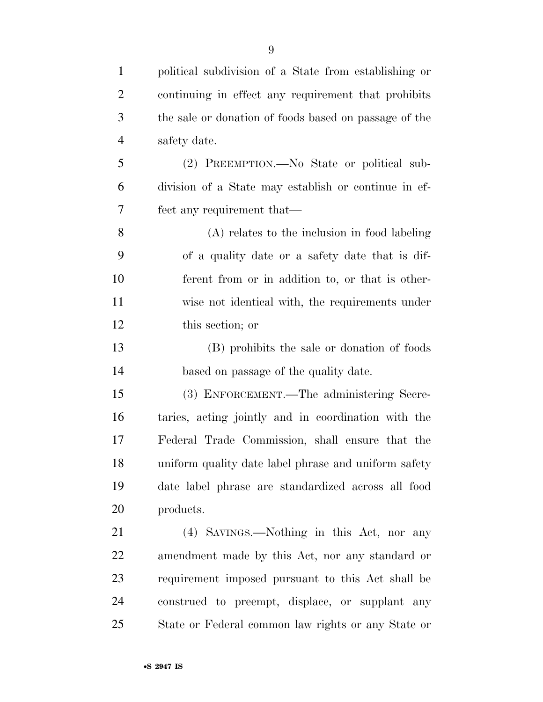| $\mathbf{1}$   | political subdivision of a State from establishing or |
|----------------|-------------------------------------------------------|
| $\overline{2}$ | continuing in effect any requirement that prohibits   |
| 3              | the sale or donation of foods based on passage of the |
| $\overline{4}$ | safety date.                                          |
| 5              | (2) PREEMPTION.—No State or political sub-            |
| 6              | division of a State may establish or continue in ef-  |
| 7              | fect any requirement that—                            |
| 8              | (A) relates to the inclusion in food labeling         |
| 9              | of a quality date or a safety date that is dif-       |
| 10             | ferent from or in addition to, or that is other-      |
| 11             | wise not identical with, the requirements under       |
| 12             | this section; or                                      |
| 13             | (B) prohibits the sale or donation of foods           |
| 14             | based on passage of the quality date.                 |
| 15             | (3) ENFORCEMENT.—The administering Secre-             |
| 16             | taries, acting jointly and in coordination with the   |
| 17             | Federal Trade Commission, shall ensure that the       |
| 18             | uniform quality date label phrase and uniform safety  |
| 19             | date label phrase are standardized across all food    |
| 20             | products.                                             |
| 21             | (4) SAVINGS.—Nothing in this Act, nor any             |
| 22             | amendment made by this Act, nor any standard or       |
| 23             | requirement imposed pursuant to this Act shall be     |
| 24             | construed to preempt, displace, or supplant any       |
| 25             | State or Federal common law rights or any State or    |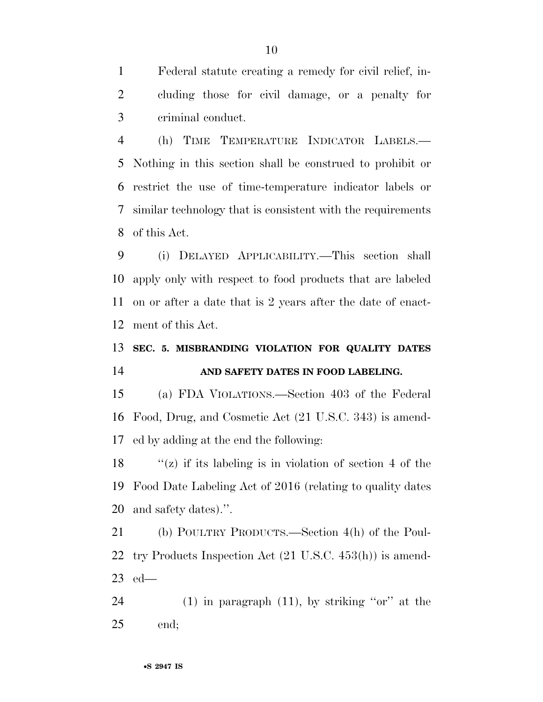Federal statute creating a remedy for civil relief, in- cluding those for civil damage, or a penalty for criminal conduct.

 (h) TIME TEMPERATURE INDICATOR LABELS.— Nothing in this section shall be construed to prohibit or restrict the use of time-temperature indicator labels or similar technology that is consistent with the requirements of this Act.

 (i) DELAYED APPLICABILITY.—This section shall apply only with respect to food products that are labeled on or after a date that is 2 years after the date of enact-ment of this Act.

## **SEC. 5. MISBRANDING VIOLATION FOR QUALITY DATES AND SAFETY DATES IN FOOD LABELING.**

 (a) FDA VIOLATIONS.—Section 403 of the Federal Food, Drug, and Cosmetic Act (21 U.S.C. 343) is amend-ed by adding at the end the following:

18  $\langle x \rangle$  if its labeling is in violation of section 4 of the Food Date Labeling Act of 2016 (relating to quality dates and safety dates).''.

 (b) POULTRY PRODUCTS.—Section 4(h) of the Poul- try Products Inspection Act (21 U.S.C. 453(h)) is amend-ed—

24 (1) in paragraph  $(11)$ , by striking "or" at the end;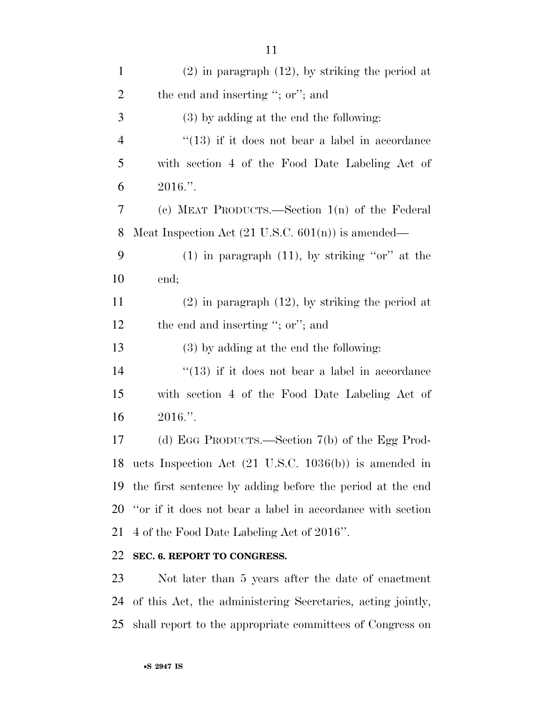| $\mathbf{1}$   | $(2)$ in paragraph $(12)$ , by striking the period at         |
|----------------|---------------------------------------------------------------|
| $\overline{2}$ | the end and inserting "; or"; and                             |
| 3              | $(3)$ by adding at the end the following:                     |
| $\overline{4}$ | $\lq(13)$ if it does not bear a label in accordance           |
| 5              | with section 4 of the Food Date Labeling Act of               |
| 6              | $2016$ .".                                                    |
| 7              | (c) MEAT PRODUCTS.—Section $1(n)$ of the Federal              |
| 8              | Meat Inspection Act $(21 \text{ U.S.C. } 601(n))$ is amended— |
| 9              | $(1)$ in paragraph $(11)$ , by striking "or" at the           |
| 10             | end;                                                          |
| 11             | $(2)$ in paragraph $(12)$ , by striking the period at         |
| 12             | the end and inserting "; or"; and                             |
| 13             | $(3)$ by adding at the end the following:                     |
| 14             | $\cdot$ (13) if it does not bear a label in accordance        |
|                |                                                               |

 with section 4 of the Food Date Labeling Act of 2016.''.

 (d) EGG PRODUCTS.—Section 7(b) of the Egg Prod- ucts Inspection Act (21 U.S.C. 1036(b)) is amended in the first sentence by adding before the period at the end ''or if it does not bear a label in accordance with section 4 of the Food Date Labeling Act of 2016''.

#### **SEC. 6. REPORT TO CONGRESS.**

 Not later than 5 years after the date of enactment of this Act, the administering Secretaries, acting jointly, shall report to the appropriate committees of Congress on